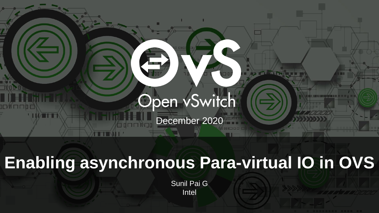

### **Enabling asynchronous Para-virtual IO in OVS**

Sunil Pai G Intel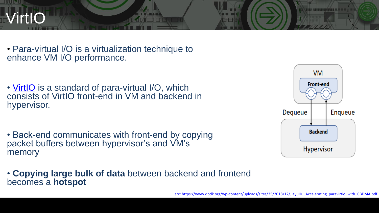

• Para-virtual I/O is a virtualization technique to enhance VM I/O performance.

- • [VirtIO](https://docs.oasis-open.org/virtio/virtio/v1.1/csprd01/virtio-v1.1-csprd01.html) is a standard of para-virtual I/O, which consists of VirtIO front-end in VM and backend in hypervisor.
- Back-end communicates with front-end by copying packet buffers between hypervisor's and VM's memory

• **Copying large bulk of data** between backend and frontend becomes a **hotspot**

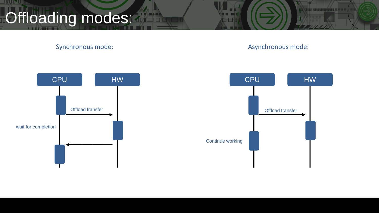## Offloading modes:

**SHARL** 

Synchronous mode: Asynchronous mode: Asynchronous mode:

**ENTER ACADEMY AT 18 YO 1** 

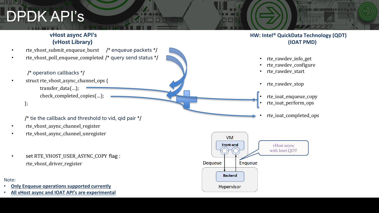### DPDK API's

#### **vHost async API's (vHost Library)**

- rte\_vhost\_submit\_enqueue\_burst /\* enqueue packets \*/
- rte\_vhost\_poll\_enqueue\_completed /\* query send status \*/

#### /\* operation callbacks \*/

- struct rte\_vhost\_async\_channel\_ops { transfer\_data(…); check\_completed\_copies(…);
	- };

#### /\* tie the callback and threshold to vid, qid pair \*/

- rte\_vhost\_async\_channel\_register
- rte\_vhost\_async\_channel\_unregister
- set RTE\_VHOST\_USER\_ASYNC\_COPY flag : rte\_vhost\_driver\_register

#### Note:

- **Only Enqueue operations supported currently**
- **All vHost async and IOAT API's are experimental**

#### **HW: Intel® QuickData Technology (QDT) (IOAT PMD)**

e no s

- rte rawdev info get
- rte rawdev configure
- rte rawdev start
- rte rawdev stop
- rte ioat enqueue copy rte ioat perform ops
- rte ioat completed ops

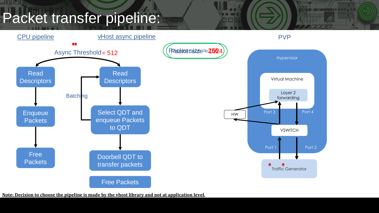### Packet transfer pipeline:

<u>sin is in</u>



**LES CREATES DE 11 DE 11** 

**Note: Decision to choose the pipeline is made by the vhost library and not at application level.**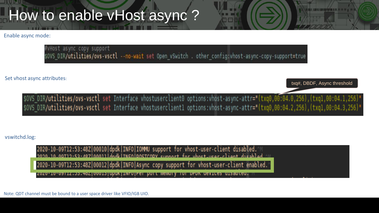### How to enable vHost async?

Enable async mode:

#vHost async copy support sOVS DIR/utilities/ovs-vsctl --no-wait set Open vSwitch. other config:vhost-async-copy-support=true

Set vhost async attributes:

txq#, DBDF, Async threshold

**Control of the Act of Act of Act of Act of Act of Act of Act of Act of Act of Act of Act of Act of Act of Act** 

\$0VS DIR/utilities/ovs-vsctl set Interface vhostuserclient0 options:vhost-async-attr="(txq0,00:04.0,256),(txq1,00:04.1,256)" \$0VS DIR/utilities/ovs-vsctl set Interface vhostuserclientl options: vhost-async-attr="(txq0,00:04.2,256), (txq1,00:04.3,256)"

#### vswitchd.log:

2020-10-09T12:53:48Z|00010|dpdk|INFO|IOMMU support for vhost-user-client disabled. 2020-10-00T12:53:487 00011 dndk TNFO DOSTCODY support for whost user-client disabled 2020-10-09T12:53:48Z|00012|dpdk|INFO|Async copy support for vhost-user-client enabled.

<u> 2020-10-09112.33.462|00013|QDUK|INFO|Per DOLL MeMOIY TOI DPDK GeVICes GISabted.</u>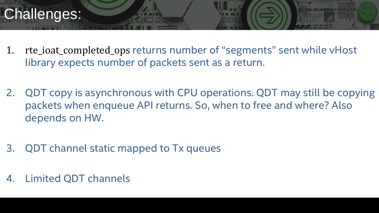### Challenges:

- 1. rte\_ioat\_completed\_ops returns number of "segments" sent while vHost library expects number of packets sent as a return.
- 2. QDT copy is asynchronous with CPU operations. QDT may still be copying packets when enqueue API returns. So, when to free and where? Also depends on HW.
- 3. QDT channel static mapped to Tx queues
- 4. Limited QDT channels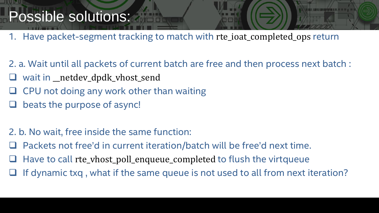### Possible solutions:

- 1. Have packet-segment tracking to match with rte\_ioat\_completed\_ops return
- 2. a. Wait until all packets of current batch are free and then process next batch :
- wait in \_\_netdev\_dpdk\_vhost\_send
- ❑ CPU not doing any work other than waiting
- beats the purpose of async!
- 2. b. No wait, free inside the same function:
- ❑ Packets not free'd in current iteration/batch will be free'd next time.
- Have to call rte\_vhost\_poll\_enqueue\_completed to flush the virtqueue
- If dynamic txq, what if the same queue is not used to all from next iteration?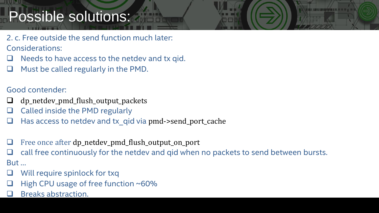### Possible solutions:

- 2. c. Free outside the send function much later: Considerations:
- Needs to have access to the netdev and tx qid.
- ❑ Must be called regularly in the PMD.

#### Good contender:

- ❑ dp\_netdev\_pmd\_flush\_output\_packets
- ❑ Called inside the PMD regularly
- Has access to netdev and tx qid via pmd->send\_port\_cache
- Free once after dp\_netdev\_pmd\_flush\_output\_on\_port
- call free continuously for the netdev and gid when no packets to send between bursts. But …
- Will require spinlock for txq
- High CPU usage of free function ~60%
- ❑ Breaks abstraction.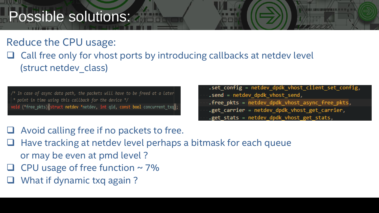### Possible solutions:

### Reduce the CPU usage:

❑ Call free only for vhost ports by introducing callbacks at netdev level (struct netdev class)

/\* In case of async data path, the packets will have to be freed at a later \* point in time using this callback for the device \*/ void (\*free pkts) (struct netdev \*netdev, int qid, const bool concurrent txq); .set config = netdev dpdk vhost client set config, .send = netdev dpdk vhost send, .free\_pkts = netdev\_dpdk\_vhost\_async\_free\_pkts, .get\_carrier = netdev\_dpdk\_vhost\_get\_carrier, .get stats = netdev dpdk vhost get stats,

- ❑ Avoid calling free if no packets to free.
- ❑ Have tracking at netdev level perhaps a bitmask for each queue or may be even at pmd level ?
- $\Box$  CPU usage of free function ~ 7%
- What if dynamic txq again?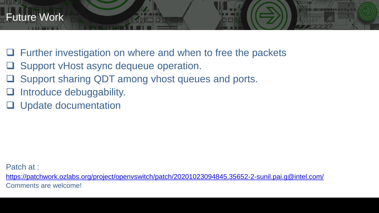- ❑ Further investigation on where and when to free the packets
- ❑ Support vHost async dequeue operation.
- ❑ Support sharing QDT among vhost queues and ports.
- Introduce debuggability.
- ❑ Update documentation

Patch at :

<https://patchwork.ozlabs.org/project/openvswitch/patch/20201023094845.35652-2-sunil.pai.g@intel.com/> Comments are welcome!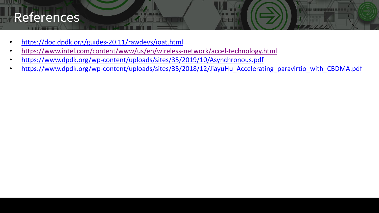### References

**THEFT** 

- <https://doc.dpdk.org/guides-20.11/rawdevs/ioat.html>
- <https://www.intel.com/content/www/us/en/wireless-network/accel-technology.html>
- <https://www.dpdk.org/wp-content/uploads/sites/35/2019/10/Asynchronous.pdf>
- [https://www.dpdk.org/wp-content/uploads/sites/35/2018/12/JiayuHu\\_Accelerating\\_paravirtio\\_with\\_CBDMA.pdf](https://www.dpdk.org/wp-content/uploads/sites/35/2018/12/JiayuHu_Accelerating_paravirtio_with_CBDMA.pdf)